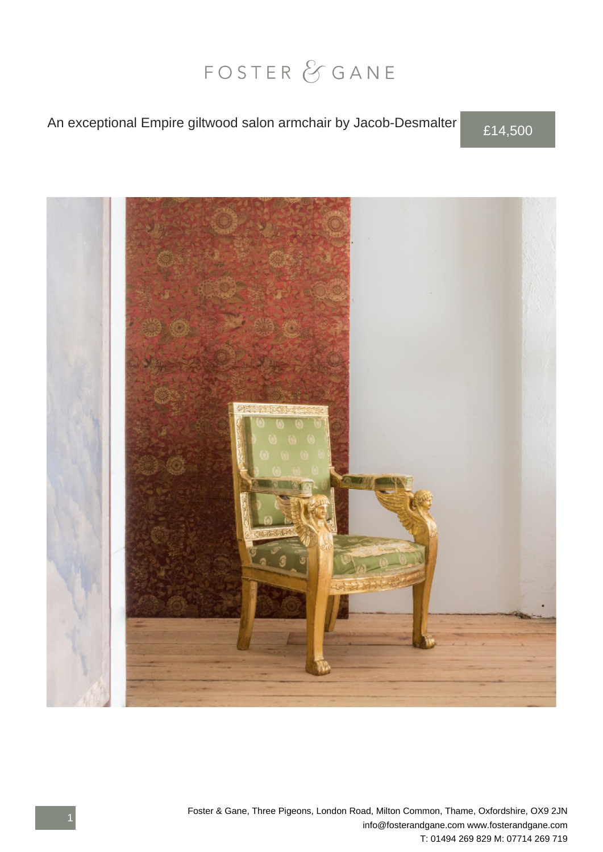## FOSTER & GANE

## An exceptional Empire giltwood salon armchair by Jacob-Desmalter £14,500